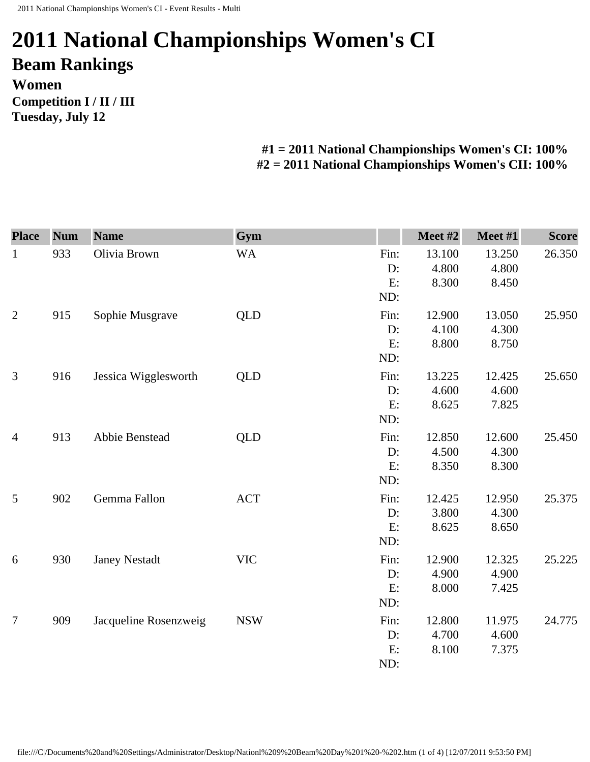## **2011 National Championships Women's CI Beam Rankings Women Competition I / II / III Tuesday, July 12**

## **#1 = 2011 National Championships Women's CI: 100% #2 = 2011 National Championships Women's CII: 100%**

| <b>Place</b>   | <b>Num</b> | <b>Name</b>           | Gym        |      | Meet #2 | Meet #1 | <b>Score</b> |
|----------------|------------|-----------------------|------------|------|---------|---------|--------------|
| $\mathbf{1}$   | 933        | Olivia Brown          | <b>WA</b>  | Fin: | 13.100  | 13.250  | 26.350       |
|                |            |                       |            | D:   | 4.800   | 4.800   |              |
|                |            |                       |            | E:   | 8.300   | 8.450   |              |
|                |            |                       |            | ND:  |         |         |              |
| $\overline{2}$ | 915        | Sophie Musgrave       | <b>QLD</b> | Fin: | 12.900  | 13.050  | 25.950       |
|                |            |                       |            | D:   | 4.100   | 4.300   |              |
|                |            |                       |            | E:   | 8.800   | 8.750   |              |
|                |            |                       |            | ND:  |         |         |              |
| 3              | 916        | Jessica Wigglesworth  | QLD        | Fin: | 13.225  | 12.425  | 25.650       |
|                |            |                       |            | D:   | 4.600   | 4.600   |              |
|                |            |                       |            | E:   | 8.625   | 7.825   |              |
|                |            |                       |            | ND:  |         |         |              |
| $\overline{4}$ | 913        | Abbie Benstead        | <b>QLD</b> | Fin: | 12.850  | 12.600  | 25.450       |
|                |            |                       |            | D:   | 4.500   | 4.300   |              |
|                |            |                       |            | E:   | 8.350   | 8.300   |              |
|                |            |                       |            | ND:  |         |         |              |
| 5              | 902        | Gemma Fallon          | <b>ACT</b> | Fin: | 12.425  | 12.950  | 25.375       |
|                |            |                       |            | D:   | 3.800   | 4.300   |              |
|                |            |                       |            | E:   | 8.625   | 8.650   |              |
|                |            |                       |            | ND:  |         |         |              |
| 6              | 930        | <b>Janey Nestadt</b>  | <b>VIC</b> | Fin: | 12.900  | 12.325  | 25.225       |
|                |            |                       |            | D:   | 4.900   | 4.900   |              |
|                |            |                       |            | E:   | 8.000   | 7.425   |              |
|                |            |                       |            | ND:  |         |         |              |
| $\overline{7}$ | 909        | Jacqueline Rosenzweig | <b>NSW</b> | Fin: | 12.800  | 11.975  | 24.775       |
|                |            |                       |            | D:   | 4.700   | 4.600   |              |
|                |            |                       |            | E:   | 8.100   | 7.375   |              |
|                |            |                       |            | ND:  |         |         |              |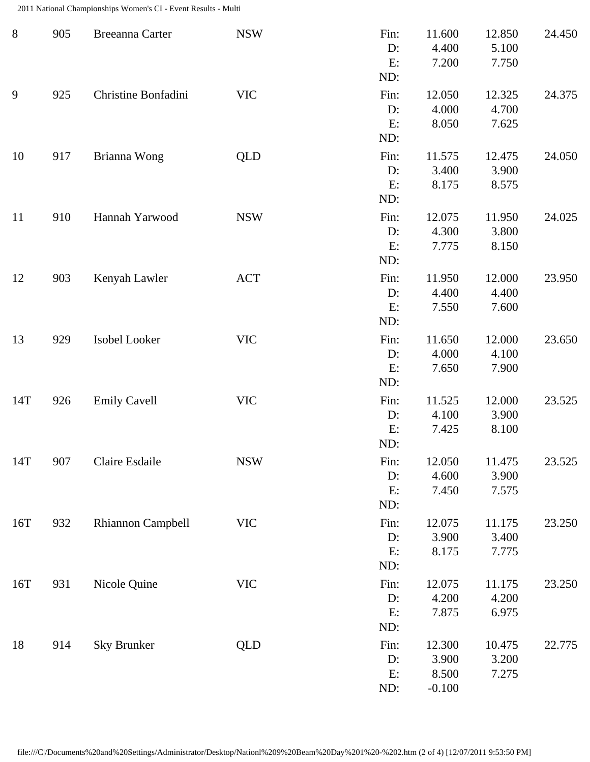2011 National Championships Women's CI - Event Results - Multi

| $8\phantom{1}$ | 905 | Breeanna Carter          | <b>NSW</b> | Fin:<br>D:<br>E:<br>ND:    | 11.600<br>4.400<br>7.200             | 12.850<br>5.100<br>7.750 | 24.450 |
|----------------|-----|--------------------------|------------|----------------------------|--------------------------------------|--------------------------|--------|
| 9              | 925 | Christine Bonfadini      | <b>VIC</b> | Fin:<br>$D$ :<br>E:<br>ND: | 12.050<br>4.000<br>8.050             | 12.325<br>4.700<br>7.625 | 24.375 |
| 10             | 917 | Brianna Wong             | QLD        | Fin:<br>D:<br>E:<br>ND:    | 11.575<br>3.400<br>8.175             | 12.475<br>3.900<br>8.575 | 24.050 |
| 11             | 910 | Hannah Yarwood           | <b>NSW</b> | Fin:<br>D:<br>E:<br>ND:    | 12.075<br>4.300<br>7.775             | 11.950<br>3.800<br>8.150 | 24.025 |
| 12             | 903 | Kenyah Lawler            | <b>ACT</b> | Fin:<br>D:<br>E:<br>ND:    | 11.950<br>4.400<br>7.550             | 12.000<br>4.400<br>7.600 | 23.950 |
| 13             | 929 | Isobel Looker            | <b>VIC</b> | Fin:<br>D:<br>E:<br>ND:    | 11.650<br>4.000<br>7.650             | 12.000<br>4.100<br>7.900 | 23.650 |
| 14T            | 926 | <b>Emily Cavell</b>      | <b>VIC</b> | Fin:<br>D:<br>E:<br>ND:    | 11.525<br>4.100<br>7.425             | 12.000<br>3.900<br>8.100 | 23.525 |
| 14T            | 907 | Claire Esdaile           | <b>NSW</b> | Fin:<br>D:<br>E:<br>ND:    | 12.050<br>4.600<br>7.450             | 11.475<br>3.900<br>7.575 | 23.525 |
| 16T            | 932 | <b>Rhiannon Campbell</b> | <b>VIC</b> | Fin:<br>D:<br>E:<br>ND:    | 12.075<br>3.900<br>8.175             | 11.175<br>3.400<br>7.775 | 23.250 |
| 16T            | 931 | Nicole Quine             | <b>VIC</b> | Fin:<br>D:<br>E:<br>ND:    | 12.075<br>4.200<br>7.875             | 11.175<br>4.200<br>6.975 | 23.250 |
| 18             | 914 | Sky Brunker              | QLD        | Fin:<br>D:<br>E:<br>ND:    | 12.300<br>3.900<br>8.500<br>$-0.100$ | 10.475<br>3.200<br>7.275 | 22.775 |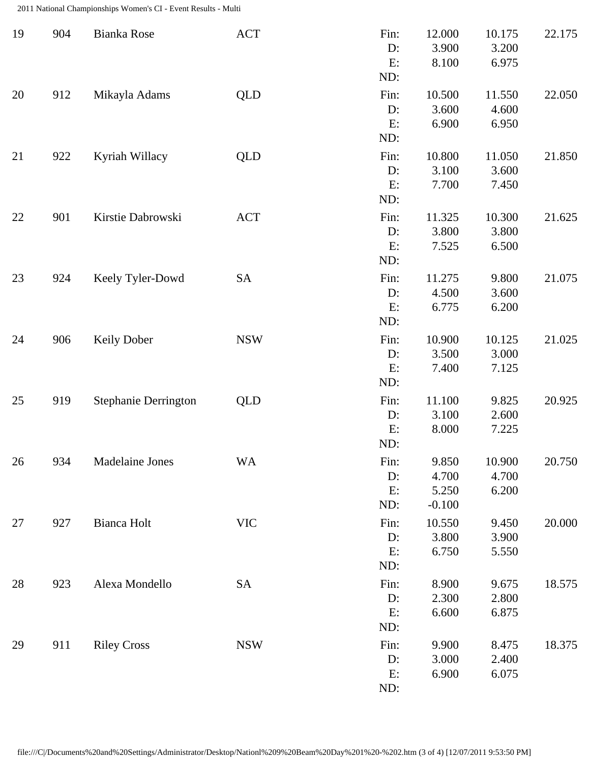2011 National Championships Women's CI - Event Results - Multi

| 19 | 904 | Bianka Rose                 | <b>ACT</b> | Fin:<br>D:<br>E:<br>ND: | 12.000<br>3.900<br>8.100            | 10.175<br>3.200<br>6.975 | 22.175 |
|----|-----|-----------------------------|------------|-------------------------|-------------------------------------|--------------------------|--------|
| 20 | 912 | Mikayla Adams               | <b>QLD</b> | Fin:<br>D:<br>E:<br>ND: | 10.500<br>3.600<br>6.900            | 11.550<br>4.600<br>6.950 | 22.050 |
| 21 | 922 | Kyriah Willacy              | <b>QLD</b> | Fin:<br>D:<br>E:<br>ND: | 10.800<br>3.100<br>7.700            | 11.050<br>3.600<br>7.450 | 21.850 |
| 22 | 901 | Kirstie Dabrowski           | <b>ACT</b> | Fin:<br>D:<br>E:<br>ND: | 11.325<br>3.800<br>7.525            | 10.300<br>3.800<br>6.500 | 21.625 |
| 23 | 924 | Keely Tyler-Dowd            | SA         | Fin:<br>D:<br>E:<br>ND: | 11.275<br>4.500<br>6.775            | 9.800<br>3.600<br>6.200  | 21.075 |
| 24 | 906 | <b>Keily Dober</b>          | <b>NSW</b> | Fin:<br>D:<br>E:<br>ND: | 10.900<br>3.500<br>7.400            | 10.125<br>3.000<br>7.125 | 21.025 |
| 25 | 919 | <b>Stephanie Derrington</b> | QLD        | Fin:<br>D:<br>E:<br>ND: | 11.100<br>3.100<br>8.000            | 9.825<br>2.600<br>7.225  | 20.925 |
| 26 | 934 | Madelaine Jones             | <b>WA</b>  | Fin:<br>D:<br>E:<br>ND: | 9.850<br>4.700<br>5.250<br>$-0.100$ | 10.900<br>4.700<br>6.200 | 20.750 |
| 27 | 927 | <b>Bianca Holt</b>          | <b>VIC</b> | Fin:<br>D:<br>E:<br>ND: | 10.550<br>3.800<br>6.750            | 9.450<br>3.900<br>5.550  | 20.000 |
| 28 | 923 | Alexa Mondello              | SA         | Fin:<br>D:<br>E:<br>ND: | 8.900<br>2.300<br>6.600             | 9.675<br>2.800<br>6.875  | 18.575 |
| 29 | 911 | <b>Riley Cross</b>          | <b>NSW</b> | Fin:<br>D:<br>E:<br>ND: | 9.900<br>3.000<br>6.900             | 8.475<br>2.400<br>6.075  | 18.375 |